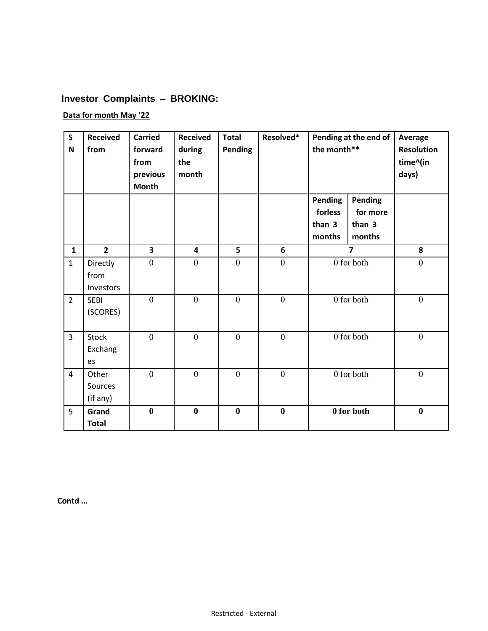## **Investor Complaints – BROKING:**

## **Data for month May '22**

| $\mathsf{S}$<br>$\mathbf N$ | <b>Received</b><br>from       | <b>Carried</b><br>forward<br>from<br>previous<br><b>Month</b> | <b>Received</b><br>during<br>the<br>month | <b>Total</b><br>Pending | Resolved*        | Pending at the end of<br>the month**   |                                         | Average<br><b>Resolution</b><br>time^(in<br>days) |
|-----------------------------|-------------------------------|---------------------------------------------------------------|-------------------------------------------|-------------------------|------------------|----------------------------------------|-----------------------------------------|---------------------------------------------------|
|                             |                               |                                                               |                                           |                         |                  | Pending<br>forless<br>than 3<br>months | Pending<br>for more<br>than 3<br>months |                                                   |
| $\mathbf{1}$                | $\overline{2}$                | $\overline{\mathbf{3}}$                                       | $\overline{\mathbf{4}}$                   | 5                       | 6                | $\overline{\mathbf{z}}$                |                                         | 8                                                 |
| $\mathbf{1}$                | Directly<br>from<br>Investors | $\overline{0}$                                                | $\overline{0}$                            | $\theta$                | $\overline{0}$   |                                        | 0 for both                              | $\boldsymbol{0}$                                  |
| $\overline{2}$              | <b>SEBI</b><br>(SCORES)       | $\mathbf{0}$                                                  | $\overline{0}$                            | $\mathbf{0}$            | $\mathbf{0}$     | 0 for both                             |                                         | $\mathbf{0}$                                      |
| $\overline{3}$              | Stock<br>Exchang<br>es        | $\boldsymbol{0}$                                              | $\boldsymbol{0}$                          | $\boldsymbol{0}$        | $\boldsymbol{0}$ | 0 for both                             |                                         | $\mathbf{0}$                                      |
| $\overline{4}$              | Other<br>Sources<br>(if any)  | $\boldsymbol{0}$                                              | $\overline{0}$                            | $\mathbf{0}$            | $\boldsymbol{0}$ | 0 for both                             |                                         | $\boldsymbol{0}$                                  |
| 5                           | Grand<br><b>Total</b>         | $\bf{0}$                                                      | $\bf{0}$                                  | $\bf{0}$                | $\bf{0}$         |                                        | 0 for both                              | $\bf{0}$                                          |

**Contd …**